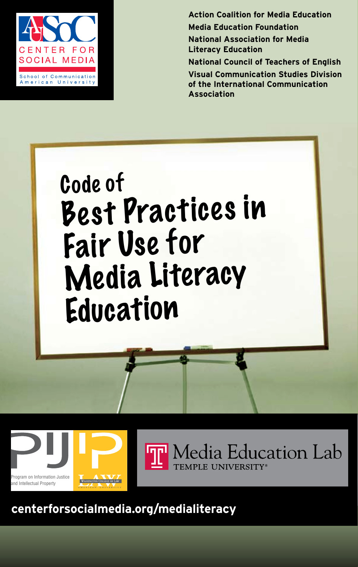

**Action Coalition for Media Education Media Education Foundation National Association for Media Literacy Education National Council of Teachers of English**

**Visual Communication Studies Division of the International Communication Association**









**centerforsocialmedia.org/medialiteracy**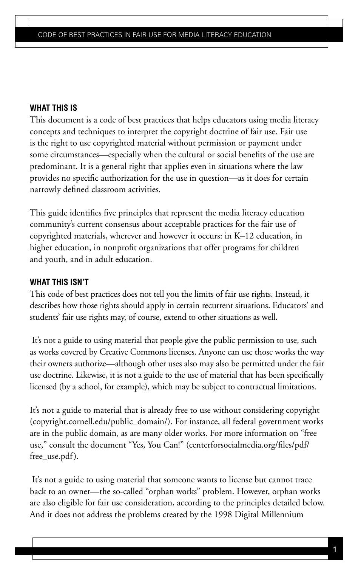## **What this is**

This document is a code of best practices that helps educators using media literacy concepts and techniques to interpret the copyright doctrine of fair use. Fair use is the right to use copyrighted material without permission or payment under some circumstances—especially when the cultural or social benefits of the use are predominant. It is a general right that applies even in situations where the law provides no specific authorization for the use in question—as it does for certain narrowly defined classroom activities.

This guide identifies five principles that represent the media literacy education community's current consensus about acceptable practices for the fair use of copyrighted materials, wherever and however it occurs: in K–12 education, in higher education, in nonprofit organizations that offer programs for children and youth, and in adult education.

## **What this isn't**

This code of best practices does not tell you the limits of fair use rights. Instead, it describes how those rights should apply in certain recurrent situations. Educators' and students' fair use rights may, of course, extend to other situations as well.

 It's not a guide to using material that people give the public permission to use, such as works covered by Creative Commons licenses. Anyone can use those works the way their owners authorize—although other uses also may also be permitted under the fair use doctrine. Likewise, it is not a guide to the use of material that has been specifically licensed (by a school, for example), which may be subject to contractual limitations.

It's not a guide to material that is already free to use without considering copyright (copyright.cornell.edu/public\_domain/). For instance, all federal government works are in the public domain, as are many older works. For more information on "free use," consult the document "Yes, You Can!" (centerforsocialmedia.org/files/pdf/ free\_use.pdf).

It's not a guide to using material that someone wants to license but cannot trace back to an owner—the so-called "orphan works" problem. However, orphan works are also eligible for fair use consideration, according to the principles detailed below. And it does not address the problems created by the 1998 Digital Millennium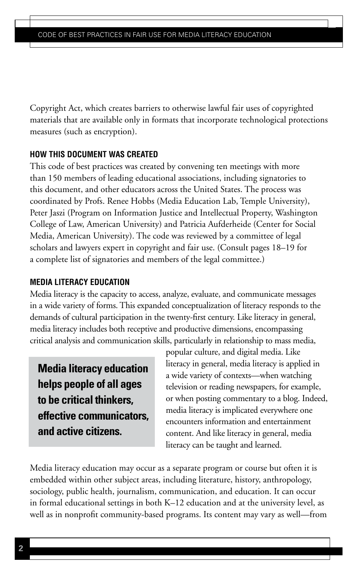Copyright Act, which creates barriers to otherwise lawful fair uses of copyrighted materials that are available only in formats that incorporate technological protections measures (such as encryption).

## **How this document was created**

This code of best practices was created by convening ten meetings with more than 150 members of leading educational associations, including signatories to this document, and other educators across the United States. The process was coordinated by Profs. Renee Hobbs (Media Education Lab, Temple University), Peter Jaszi (Program on Information Justice and Intellectual Property, Washington College of Law, American University) and Patricia Aufderheide (Center for Social Media, American University). The code was reviewed by a committee of legal scholars and lawyers expert in copyright and fair use. (Consult pages 18–19 for a complete list of signatories and members of the legal committee.)

### **MEDIA LITERACY EDUCATION**

Media literacy is the capacity to access, analyze, evaluate, and communicate messages in a wide variety of forms. This expanded conceptualization of literacy responds to the demands of cultural participation in the twenty-first century. Like literacy in general, media literacy includes both receptive and productive dimensions, encompassing critical analysis and communication skills, particularly in relationship to mass media,

**Media literacy education helps people of all ages to be critical thinkers, effective communicators, and active citizens.** 

popular culture, and digital media. Like literacy in general, media literacy is applied in a wide variety of contexts—when watching television or reading newspapers, for example, or when posting commentary to a blog. Indeed, media literacy is implicated everywhere one encounters information and entertainment content. And like literacy in general, media literacy can be taught and learned.

Media literacy education may occur as a separate program or course but often it is embedded within other subject areas, including literature, history, anthropology, sociology, public health, journalism, communication, and education. It can occur in formal educational settings in both K–12 education and at the university level, as well as in nonprofit community-based programs. Its content may vary as well—from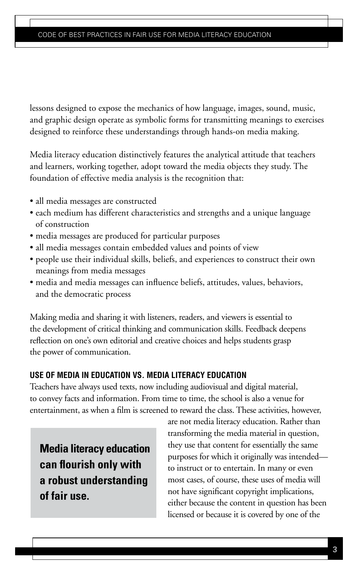lessons designed to expose the mechanics of how language, images, sound, music, and graphic design operate as symbolic forms for transmitting meanings to exercises designed to reinforce these understandings through hands-on media making.

Media literacy education distinctively features the analytical attitude that teachers and learners, working together, adopt toward the media objects they study. The foundation of effective media analysis is the recognition that:

- all media messages are constructed
- each medium has different characteristics and strengths and a unique language of construction
- media messages are produced for particular purposes
- all media messages contain embedded values and points of view
- people use their individual skills, beliefs, and experiences to construct their own meanings from media messages
- media and media messages can influence beliefs, attitudes, values, behaviors, and the democratic process

Making media and sharing it with listeners, readers, and viewers is essential to the development of critical thinking and communication skills. Feedback deepens reflection on one's own editorial and creative choices and helps students grasp the power of communication.

## **USE OF MEDIA IN EDUCATION vs. MEDIA LITERACY EDUCATION**

Teachers have always used texts, now including audiovisual and digital material, to convey facts and information. From time to time, the school is also a venue for entertainment, as when a film is screened to reward the class. These activities, however,

**Media literacy education can flourish only with a robust understanding of fair use.**

are not media literacy education. Rather than transforming the media material in question, they use that content for essentially the same purposes for which it originally was intended to instruct or to entertain. In many or even most cases, of course, these uses of media will not have significant copyright implications, either because the content in question has been licensed or because it is covered by one of the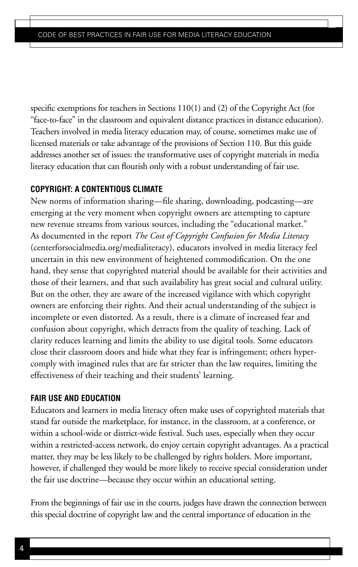specific exemptions for teachers in Sections 110(1) and (2) of the Copyright Act (for "face-to-face" in the classroom and equivalent distance practices in distance education). Teachers involved in media literacy education may, of course, sometimes make use of licensed materials or take advantage of the provisions of Section 110. But this guide addresses another set of issues: the transformative uses of copyright materials in media literacy education that can flourish only with a robust understanding of fair use.

#### **COPYRIGHT: A CONTENTIOUS CLIMATE**

New norms of information sharing—file sharing, downloading, podcasting—are emerging at the very moment when copyright owners are attempting to capture new revenue streams from various sources, including the "educational market." As documented in the report *The Cost of Copyright Confusion for Media Literacy*  (centerforsocialmedia.org/medialiteracy), educators involved in media literacy feel uncertain in this new environment of heightened commodification. On the one hand, they sense that copyrighted material should be available for their activities and those of their learners, and that such availability has great social and cultural utility. But on the other, they are aware of the increased vigilance with which copyright owners are enforcing their rights. And their actual understanding of the subject is incomplete or even distorted. As a result, there is a climate of increased fear and confusion about copyright, which detracts from the quality of teaching. Lack of clarity reduces learning and limits the ability to use digital tools. Some educators close their classroom doors and hide what they fear is infringement; others hypercomply with imagined rules that are far stricter than the law requires, limiting the effectiveness of their teaching and their students' learning.

#### **FAIR USE AND EDUCATION**

Educators and learners in media literacy often make uses of copyrighted materials that stand far outside the marketplace, for instance, in the classroom, at a conference, or within a school-wide or district-wide festival. Such uses, especially when they occur within a restricted-access network, do enjoy certain copyright advantages. As a practical matter, they may be less likely to be challenged by rights holders. More important, however, if challenged they would be more likely to receive special consideration under the fair use doctrine—because they occur within an educational setting.

From the beginnings of fair use in the courts, judges have drawn the connection between this special doctrine of copyright law and the central importance of education in the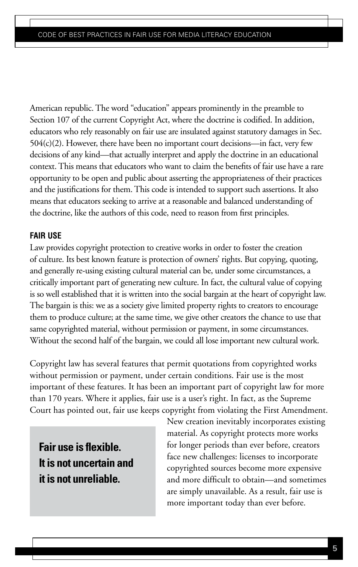American republic. The word "education" appears prominently in the preamble to Section 107 of the current Copyright Act, where the doctrine is codified. In addition, educators who rely reasonably on fair use are insulated against statutory damages in Sec. 504(c)(2). However, there have been no important court decisions—in fact, very few decisions of any kind—that actually interpret and apply the doctrine in an educational context. This means that educators who want to claim the benefits of fair use have a rare opportunity to be open and public about asserting the appropriateness of their practices and the justifications for them. This code is intended to support such assertions. It also means that educators seeking to arrive at a reasonable and balanced understanding of the doctrine, like the authors of this code, need to reason from first principles.

### **FAIR USE**

Law provides copyright protection to creative works in order to foster the creation of culture. Its best known feature is protection of owners' rights. But copying, quoting, and generally re-using existing cultural material can be, under some circumstances, a critically important part of generating new culture. In fact, the cultural value of copying is so well established that it is written into the social bargain at the heart of copyright law. The bargain is this: we as a society give limited property rights to creators to encourage them to produce culture; at the same time, we give other creators the chance to use that same copyrighted material, without permission or payment, in some circumstances. Without the second half of the bargain, we could all lose important new cultural work.

Copyright law has several features that permit quotations from copyrighted works without permission or payment, under certain conditions. Fair use is the most important of these features. It has been an important part of copyright law for more than 170 years. Where it applies, fair use is a user's right. In fact, as the Supreme Court has pointed out, fair use keeps copyright from violating the First Amendment.

**Fair use is flexible. It is not uncertain and it is not unreliable.**

New creation inevitably incorporates existing material. As copyright protects more works for longer periods than ever before, creators face new challenges: licenses to incorporate copyrighted sources become more expensive and more difficult to obtain—and sometimes are simply unavailable. As a result, fair use is more important today than ever before.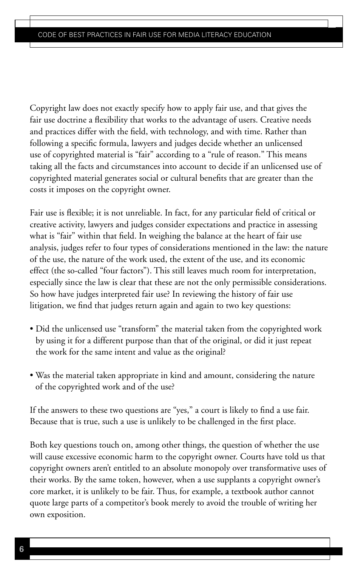Copyright law does not exactly specify how to apply fair use, and that gives the fair use doctrine a flexibility that works to the advantage of users. Creative needs and practices differ with the field, with technology, and with time. Rather than following a specific formula, lawyers and judges decide whether an unlicensed use of copyrighted material is "fair" according to a "rule of reason." This means taking all the facts and circumstances into account to decide if an unlicensed use of copyrighted material generates social or cultural benefits that are greater than the costs it imposes on the copyright owner.

Fair use is flexible; it is not unreliable. In fact, for any particular field of critical or creative activity, lawyers and judges consider expectations and practice in assessing what is "fair" within that field. In weighing the balance at the heart of fair use analysis, judges refer to four types of considerations mentioned in the law: the nature of the use, the nature of the work used, the extent of the use, and its economic effect (the so-called "four factors"). This still leaves much room for interpretation, especially since the law is clear that these are not the only permissible considerations. So how have judges interpreted fair use? In reviewing the history of fair use litigation, we find that judges return again and again to two key questions:

- Did the unlicensed use "transform" the material taken from the copyrighted work by using it for a different purpose than that of the original, or did it just repeat the work for the same intent and value as the original?
- Was the material taken appropriate in kind and amount, considering the nature of the copyrighted work and of the use?

If the answers to these two questions are "yes," a court is likely to find a use fair. Because that is true, such a use is unlikely to be challenged in the first place.

Both key questions touch on, among other things, the question of whether the use will cause excessive economic harm to the copyright owner. Courts have told us that copyright owners aren't entitled to an absolute monopoly over transformative uses of their works. By the same token, however, when a use supplants a copyright owner's core market, it is unlikely to be fair. Thus, for example, a textbook author cannot quote large parts of a competitor's book merely to avoid the trouble of writing her own exposition.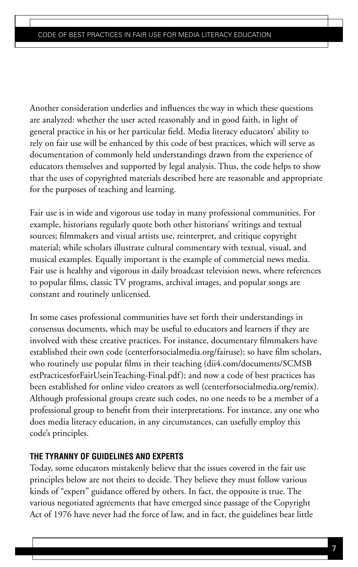Another consideration underlies and influences the way in which these questions are analyzed: whether the user acted reasonably and in good faith, in light of general practice in his or her particular field. Media literacy educators' ability to rely on fair use will be enhanced by this code of best practices, which will serve as documentation of commonly held understandings drawn from the experience of educators themselves and supported by legal analysis. Thus, the code helps to show that the uses of copyrighted materials described here are reasonable and appropriate for the purposes of teaching and learning.

Fair use is in wide and vigorous use today in many professional communities. For example, historians regularly quote both other historians' writings and textual sources; filmmakers and visual artists use, reinterpret, and critique copyright material; while scholars illustrate cultural commentary with textual, visual, and musical examples. Equally important is the example of commercial news media. Fair use is healthy and vigorous in daily broadcast television news, where references to popular films, classic TV programs, archival images, and popular songs are constant and routinely unlicensed.

In some cases professional communities have set forth their understandings in consensus documents, which may be useful to educators and learners if they are involved with these creative practices. For instance, documentary filmmakers have established their own code (centerforsocialmedia.org/fairuse); so have film scholars, who routinely use popular films in their teaching (dii4.com/documents/SCMSB estPracticesforFairUseinTeaching-Final.pdf); and now a code of best practices has been established for online video creators as well (centerforsocialmedia.org/remix). Although professional groups create such codes, no one needs to be a member of a professional group to benefit from their interpretations. For instance, any one who does media literacy education, in any circumstances, can usefully employ this code's principles.

### **THE TYRANNY OF GUIDELINES AND EXPERTS**

Today, some educators mistakenly believe that the issues covered in the fair use principles below are not theirs to decide. They believe they must follow various kinds of "expert" guidance offered by others. In fact, the opposite is true. The various negotiated agreements that have emerged since passage of the Copyright Act of 1976 have never had the force of law, and in fact, the guidelines bear little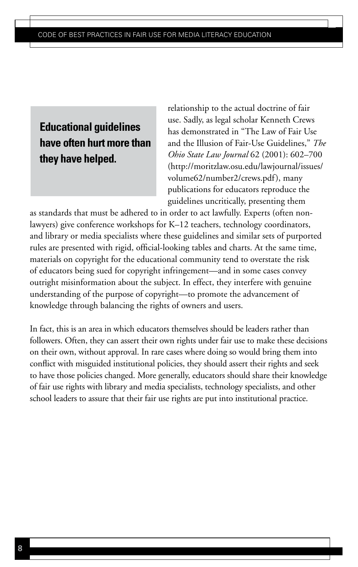# **Educational guidelines have often hurt more than they have helped.**

relationship to the actual doctrine of fair use. Sadly, as legal scholar Kenneth Crews has demonstrated in "The Law of Fair Use and the Illusion of Fair-Use Guidelines," *The Ohio State Law Journal* 62 (2001): 602–700 (http://moritzlaw.osu.edu/lawjournal/issues/ volume62/number2/crews.pdf), many publications for educators reproduce the guidelines uncritically, presenting them

as standards that must be adhered to in order to act lawfully. Experts (often nonlawyers) give conference workshops for K–12 teachers, technology coordinators, and library or media specialists where these guidelines and similar sets of purported rules are presented with rigid, official-looking tables and charts. At the same time, materials on copyright for the educational community tend to overstate the risk of educators being sued for copyright infringement—and in some cases convey outright misinformation about the subject. In effect, they interfere with genuine understanding of the purpose of copyright—to promote the advancement of knowledge through balancing the rights of owners and users.

In fact, this is an area in which educators themselves should be leaders rather than followers. Often, they can assert their own rights under fair use to make these decisions on their own, without approval. In rare cases where doing so would bring them into conflict with misguided institutional policies, they should assert their rights and seek to have those policies changed. More generally, educators should share their knowledge of fair use rights with library and media specialists, technology specialists, and other school leaders to assure that their fair use rights are put into institutional practice.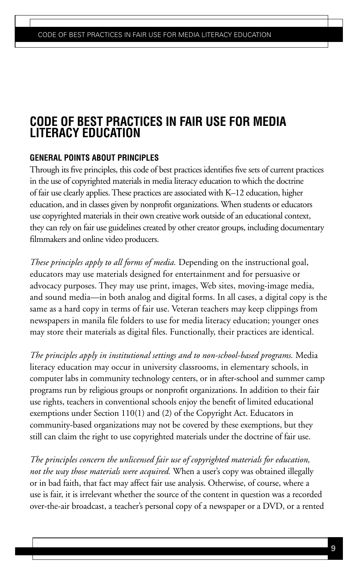## **GENERAL POINTS ABOUT PRINCIPLES**

Through its five principles, this code of best practices identifies five sets of current practices in the use of copyrighted materials in media literacy education to which the doctrine of fair use clearly applies. These practices are associated with K–12 education, higher education, and in classes given by nonprofit organizations. When students or educators use copyrighted materials in their own creative work outside of an educational context, they can rely on fair use guidelines created by other creator groups, including documentary filmmakers and online video producers.

*These principles apply to all forms of media.* Depending on the instructional goal, educators may use materials designed for entertainment and for persuasive or advocacy purposes. They may use print, images, Web sites, moving-image media, and sound media—in both analog and digital forms. In all cases, a digital copy is the same as a hard copy in terms of fair use. Veteran teachers may keep clippings from newspapers in manila file folders to use for media literacy education; younger ones may store their materials as digital files. Functionally, their practices are identical.

*The principles apply in institutional settings and to non-school-based programs.* Media literacy education may occur in university classrooms, in elementary schools, in computer labs in community technology centers, or in after-school and summer camp programs run by religious groups or nonprofit organizations. In addition to their fair use rights, teachers in conventional schools enjoy the benefit of limited educational exemptions under Section 110(1) and (2) of the Copyright Act. Educators in community-based organizations may not be covered by these exemptions, but they still can claim the right to use copyrighted materials under the doctrine of fair use.

*The principles concern the unlicensed fair use of copyrighted materials for education, not the way those materials were acquired.* When a user's copy was obtained illegally or in bad faith, that fact may affect fair use analysis. Otherwise, of course, where a use is fair, it is irrelevant whether the source of the content in question was a recorded over-the-air broadcast, a teacher's personal copy of a newspaper or a DVD, or a rented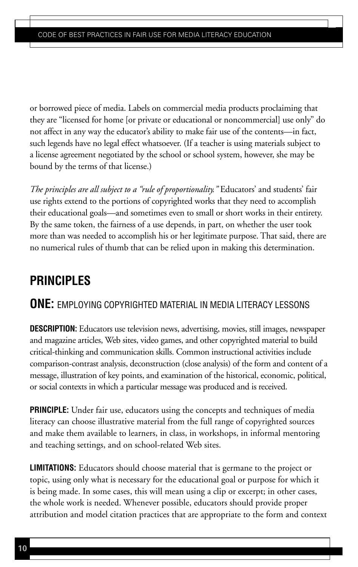or borrowed piece of media. Labels on commercial media products proclaiming that they are "licensed for home [or private or educational or noncommercial] use only" do not affect in any way the educator's ability to make fair use of the contents—in fact, such legends have no legal effect whatsoever. (If a teacher is using materials subject to a license agreement negotiated by the school or school system, however, she may be bound by the terms of that license.)

*The principles are all subject to a "rule of proportionality."* Educators' and students' fair use rights extend to the portions of copyrighted works that they need to accomplish their educational goals—and sometimes even to small or short works in their entirety. By the same token, the fairness of a use depends, in part, on whether the user took more than was needed to accomplish his or her legitimate purpose. That said, there are no numerical rules of thumb that can be relied upon in making this determination.

# **PRINCIPLES**

# **ONE:** EMPLOYING COPYRIGHTED MATERIAL IN MEDIA LITERACY LESSONS

**DESCRIPTION:** Educators use television news, advertising, movies, still images, newspaper and magazine articles, Web sites, video games, and other copyrighted material to build critical-thinking and communication skills. Common instructional activities include comparison-contrast analysis, deconstruction (close analysis) of the form and content of a message, illustration of key points, and examination of the historical, economic, political, or social contexts in which a particular message was produced and is received.

**PRINCIPLE:** Under fair use, educators using the concepts and techniques of media literacy can choose illustrative material from the full range of copyrighted sources and make them available to learners, in class, in workshops, in informal mentoring and teaching settings, and on school-related Web sites.

**LIMITATIONS:** Educators should choose material that is germane to the project or topic, using only what is necessary for the educational goal or purpose for which it is being made. In some cases, this will mean using a clip or excerpt; in other cases, the whole work is needed. Whenever possible, educators should provide proper attribution and model citation practices that are appropriate to the form and context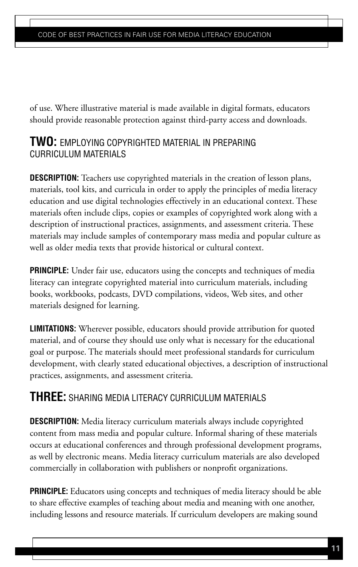of use. Where illustrative material is made available in digital formats, educators should provide reasonable protection against third-party access and downloads.

## **TWO:** EMPLOYING COPYRIGHTED MATERIAL IN PREPARING CURRICULUM MATERIALS

**DESCRIPTION:** Teachers use copyrighted materials in the creation of lesson plans, materials, tool kits, and curricula in order to apply the principles of media literacy education and use digital technologies effectively in an educational context. These materials often include clips, copies or examples of copyrighted work along with a description of instructional practices, assignments, and assessment criteria. These materials may include samples of contemporary mass media and popular culture as well as older media texts that provide historical or cultural context.

**PRINCIPLE:** Under fair use, educators using the concepts and techniques of media literacy can integrate copyrighted material into curriculum materials, including books, workbooks, podcasts, DVD compilations, videos, Web sites, and other materials designed for learning.

**LIMITATIONS:** Wherever possible, educators should provide attribution for quoted material, and of course they should use only what is necessary for the educational goal or purpose. The materials should meet professional standards for curriculum development, with clearly stated educational objectives, a description of instructional practices, assignments, and assessment criteria.

# **THREE:** SHARING MEDIA LITERACY CURRICULUM MATERIALS

**DESCRIPTION:** Media literacy curriculum materials always include copyrighted content from mass media and popular culture. Informal sharing of these materials occurs at educational conferences and through professional development programs, as well by electronic means. Media literacy curriculum materials are also developed commercially in collaboration with publishers or nonprofit organizations.

**PRINCIPLE:** Educators using concepts and techniques of media literacy should be able to share effective examples of teaching about media and meaning with one another, including lessons and resource materials. If curriculum developers are making sound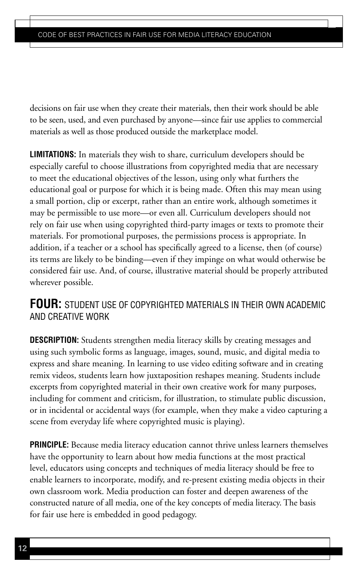decisions on fair use when they create their materials, then their work should be able to be seen, used, and even purchased by anyone—since fair use applies to commercial materials as well as those produced outside the marketplace model.

**LIMITATIONS:** In materials they wish to share, curriculum developers should be especially careful to choose illustrations from copyrighted media that are necessary to meet the educational objectives of the lesson, using only what furthers the educational goal or purpose for which it is being made. Often this may mean using a small portion, clip or excerpt, rather than an entire work, although sometimes it may be permissible to use more—or even all. Curriculum developers should not rely on fair use when using copyrighted third-party images or texts to promote their materials. For promotional purposes, the permissions process is appropriate. In addition, if a teacher or a school has specifically agreed to a license, then (of course) its terms are likely to be binding—even if they impinge on what would otherwise be considered fair use. And, of course, illustrative material should be properly attributed wherever possible.

# **FOUR:** STUDENT USE OF COPYRIGHTED MATERIALS IN THEIR OWN ACADEMIC AND CREATIVE WORK

**DESCRIPTION:** Students strengthen media literacy skills by creating messages and using such symbolic forms as language, images, sound, music, and digital media to express and share meaning. In learning to use video editing software and in creating remix videos, students learn how juxtaposition reshapes meaning. Students include excerpts from copyrighted material in their own creative work for many purposes, including for comment and criticism, for illustration, to stimulate public discussion, or in incidental or accidental ways (for example, when they make a video capturing a scene from everyday life where copyrighted music is playing).

**PRINCIPLE:** Because media literacy education cannot thrive unless learners themselves have the opportunity to learn about how media functions at the most practical level, educators using concepts and techniques of media literacy should be free to enable learners to incorporate, modify, and re-present existing media objects in their own classroom work. Media production can foster and deepen awareness of the constructed nature of all media, one of the key concepts of media literacy. The basis for fair use here is embedded in good pedagogy.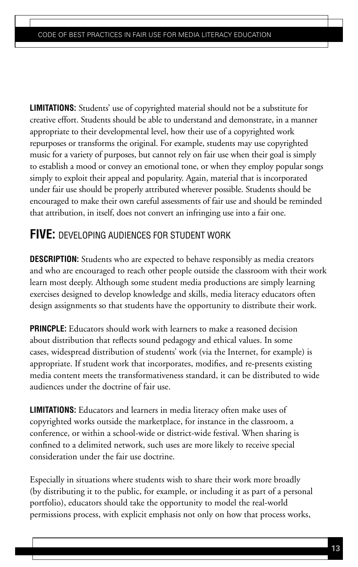**LIMITATIONS:** Students' use of copyrighted material should not be a substitute for creative effort. Students should be able to understand and demonstrate, in a manner appropriate to their developmental level, how their use of a copyrighted work repurposes or transforms the original. For example, students may use copyrighted music for a variety of purposes, but cannot rely on fair use when their goal is simply to establish a mood or convey an emotional tone, or when they employ popular songs simply to exploit their appeal and popularity. Again, material that is incorporated under fair use should be properly attributed wherever possible. Students should be encouraged to make their own careful assessments of fair use and should be reminded that attribution, in itself, does not convert an infringing use into a fair one.

# **FIVE:** DEVELOPING AUDIENCES FOR STUDENT WORK

**DESCRIPTION:** Students who are expected to behave responsibly as media creators and who are encouraged to reach other people outside the classroom with their work learn most deeply. Although some student media productions are simply learning exercises designed to develop knowledge and skills, media literacy educators often design assignments so that students have the opportunity to distribute their work.

**PRINCPLE:** Educators should work with learners to make a reasoned decision about distribution that reflects sound pedagogy and ethical values. In some cases, widespread distribution of students' work (via the Internet, for example) is appropriate. If student work that incorporates, modifies, and re-presents existing media content meets the transformativeness standard, it can be distributed to wide audiences under the doctrine of fair use.

**LIMITATIONS:** Educators and learners in media literacy often make uses of copyrighted works outside the marketplace, for instance in the classroom, a conference, or within a school-wide or district-wide festival. When sharing is confined to a delimited network, such uses are more likely to receive special consideration under the fair use doctrine.

Especially in situations where students wish to share their work more broadly (by distributing it to the public, for example, or including it as part of a personal portfolio), educators should take the opportunity to model the real-world permissions process, with explicit emphasis not only on how that process works,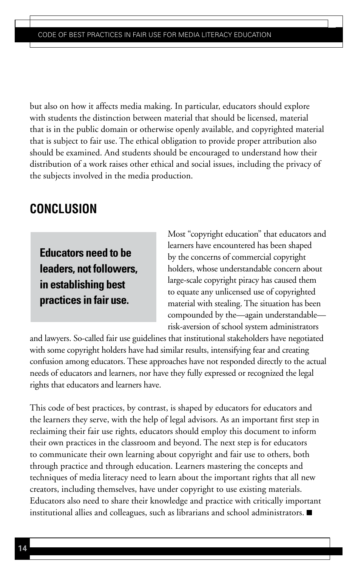but also on how it affects media making. In particular, educators should explore with students the distinction between material that should be licensed, material that is in the public domain or otherwise openly available, and copyrighted material that is subject to fair use. The ethical obligation to provide proper attribution also should be examined. And students should be encouraged to understand how their distribution of a work raises other ethical and social issues, including the privacy of the subjects involved in the media production.

# **CONCLUSION**

**Educators need to be leaders, not followers, in establishing best practices in fair use.** 

Most "copyright education" that educators and learners have encountered has been shaped by the concerns of commercial copyright holders, whose understandable concern about large-scale copyright piracy has caused them to equate any unlicensed use of copyrighted material with stealing. The situation has been compounded by the—again understandable risk-aversion of school system administrators

and lawyers. So-called fair use guidelines that institutional stakeholders have negotiated with some copyright holders have had similar results, intensifying fear and creating confusion among educators. These approaches have not responded directly to the actual needs of educators and learners, nor have they fully expressed or recognized the legal rights that educators and learners have.

This code of best practices, by contrast, is shaped by educators for educators and the learners they serve, with the help of legal advisors. As an important first step in reclaiming their fair use rights, educators should employ this document to inform their own practices in the classroom and beyond. The next step is for educators to communicate their own learning about copyright and fair use to others, both through practice and through education. Learners mastering the concepts and techniques of media literacy need to learn about the important rights that all new creators, including themselves, have under copyright to use existing materials. Educators also need to share their knowledge and practice with critically important institutional allies and colleagues, such as librarians and school administrators.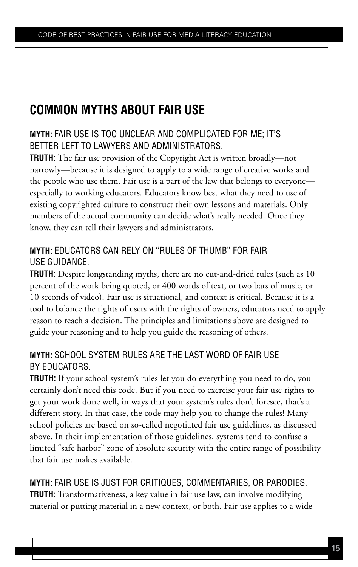# **COMMON MYTHS ABOUT FAIR USE**

## **MYTH:** FAIR USE IS TOO UNCLEAR AND COMPLICATED FOR ME; IT'S BETTER LEFT TO LAWYERS AND ADMINISTRATORS.

**TRUTH:** The fair use provision of the Copyright Act is written broadly—not narrowly—because it is designed to apply to a wide range of creative works and the people who use them. Fair use is a part of the law that belongs to everyone especially to working educators. Educators know best what they need to use of existing copyrighted culture to construct their own lessons and materials. Only members of the actual community can decide what's really needed. Once they know, they can tell their lawyers and administrators.

# **MYTH:** EDUCATORS CAN RELY ON "RULES OF THUMB" FOR FAIR USE GUIDANCE.

**TRUTH:** Despite longstanding myths, there are no cut-and-dried rules (such as 10 percent of the work being quoted, or 400 words of text, or two bars of music, or 10 seconds of video). Fair use is situational, and context is critical. Because it is a tool to balance the rights of users with the rights of owners, educators need to apply reason to reach a decision. The principles and limitations above are designed to guide your reasoning and to help you guide the reasoning of others.

## **MYTH:** SCHOOL SYSTEM RULES ARE THE LAST WORD OF FAIR USE BY EDUCATORS.

**TRUTH:** If your school system's rules let you do everything you need to do, you certainly don't need this code. But if you need to exercise your fair use rights to get your work done well, in ways that your system's rules don't foresee, that's a different story. In that case, the code may help you to change the rules! Many school policies are based on so-called negotiated fair use guidelines, as discussed above. In their implementation of those guidelines, systems tend to confuse a limited "safe harbor" zone of absolute security with the entire range of possibility that fair use makes available.

# **MYTH:** FAIR USE IS JUST FOR CRITIQUES, COMMENTARIES, OR PARODIES.

**TRUTH:** Transformativeness, a key value in fair use law, can involve modifying material or putting material in a new context, or both. Fair use applies to a wide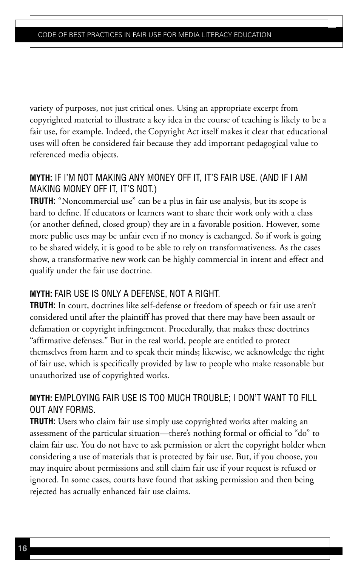variety of purposes, not just critical ones. Using an appropriate excerpt from copyrighted material to illustrate a key idea in the course of teaching is likely to be a fair use, for example. Indeed, the Copyright Act itself makes it clear that educational uses will often be considered fair because they add important pedagogical value to referenced media objects.

## **MYTH:** IF I'M NOT MAKING ANY MONEY OFF IT, IT'S FAIR USE. (AND IF I AM MAKING MONEY OFF IT, IT'S NOT.)

**TRUTH:** "Noncommercial use" can be a plus in fair use analysis, but its scope is hard to define. If educators or learners want to share their work only with a class (or another defined, closed group) they are in a favorable position. However, some more public uses may be unfair even if no money is exchanged. So if work is going to be shared widely, it is good to be able to rely on transformativeness. As the cases show, a transformative new work can be highly commercial in intent and effect and qualify under the fair use doctrine.

## **MYTH:** FAIR USE IS ONLY A DEFENSE, NOT A RIGHT.

**TRUTH:** In court, doctrines like self-defense or freedom of speech or fair use aren't considered until after the plaintiff has proved that there may have been assault or defamation or copyright infringement. Procedurally, that makes these doctrines "affirmative defenses." But in the real world, people are entitled to protect themselves from harm and to speak their minds; likewise, we acknowledge the right of fair use, which is specifically provided by law to people who make reasonable but unauthorized use of copyrighted works.

## **MYTH:** EMPLOYING FAIR USE IS TOO MUCH TROUBLE; I DON'T WANT TO FILL OUT ANY FORMS.

**TRUTH:** Users who claim fair use simply use copyrighted works after making an assessment of the particular situation—there's nothing formal or official to "do" to claim fair use. You do not have to ask permission or alert the copyright holder when considering a use of materials that is protected by fair use. But, if you choose, you may inquire about permissions and still claim fair use if your request is refused or ignored. In some cases, courts have found that asking permission and then being rejected has actually enhanced fair use claims.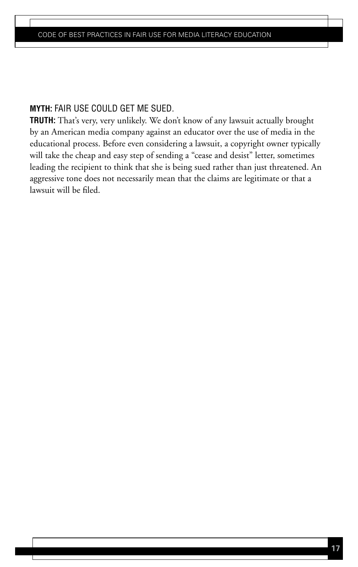### **MYTH:** FAIR USE COULD GET ME SUED.

**Truth:** That's very, very unlikely. We don't know of any lawsuit actually brought by an American media company against an educator over the use of media in the educational process. Before even considering a lawsuit, a copyright owner typically will take the cheap and easy step of sending a "cease and desist" letter, sometimes leading the recipient to think that she is being sued rather than just threatened. An aggressive tone does not necessarily mean that the claims are legitimate or that a lawsuit will be filed.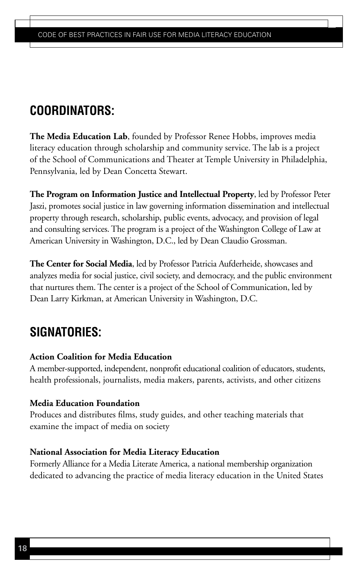# **COORDINATORS:**

**The Media Education Lab**, founded by Professor Renee Hobbs, improves media literacy education through scholarship and community service. The lab is a project of the School of Communications and Theater at Temple University in Philadelphia, Pennsylvania, led by Dean Concetta Stewart.

**The Program on Information Justice and Intellectual Property**, led by Professor Peter Jaszi, promotes social justice in law governing information dissemination and intellectual property through research, scholarship, public events, advocacy, and provision of legal and consulting services. The program is a project of the Washington College of Law at American University in Washington, D.C., led by Dean Claudio Grossman.

**The Center for Social Media**, led by Professor Patricia Aufderheide, showcases and analyzes media for social justice, civil society, and democracy, and the public environment that nurtures them. The center is a project of the School of Communication, led by Dean Larry Kirkman, at American University in Washington, D.C.

# **Signatories:**

## **Action Coalition for Media Education**

A member-supported, independent, nonprofit educational coalition of educators, students, health professionals, journalists, media makers, parents, activists, and other citizens

## **Media Education Foundation**

Produces and distributes films, study guides, and other teaching materials that examine the impact of media on society

## **National Association for Media Literacy Education**

Formerly Alliance for a Media Literate America, a national membership organization dedicated to advancing the practice of media literacy education in the United States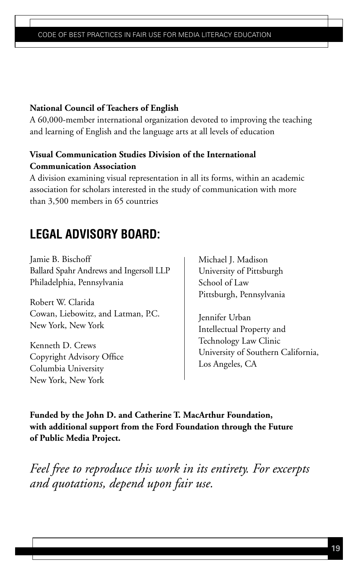### **National Council of Teachers of English**

A 60,000-member international organization devoted to improving the teaching and learning of English and the language arts at all levels of education

## **Visual Communication Studies Division of the International Communication Association**

A division examining visual representation in all its forms, within an academic association for scholars interested in the study of communication with more than 3,500 members in 65 countries

# **LEGAL ADVISORY BOARD:**

Jamie B. Bischoff Ballard Spahr Andrews and Ingersoll LLP Philadelphia, Pennsylvania

Robert W. Clarida Cowan, Liebowitz, and Latman, P.C. New York, New York

Kenneth D. Crews Copyright Advisory Office Columbia University New York, New York

Michael J. Madison University of Pittsburgh School of Law Pittsburgh, Pennsylvania

Jennifer Urban Intellectual Property and Technology Law Clinic University of Southern California, Los Angeles, CA

**Funded by the John D. and Catherine T. MacArthur Foundation, with additional support from the Ford Foundation through the Future of Public Media Project.**

*Feel free to reproduce this work in its entirety. For excerpts and quotations, depend upon fair use.*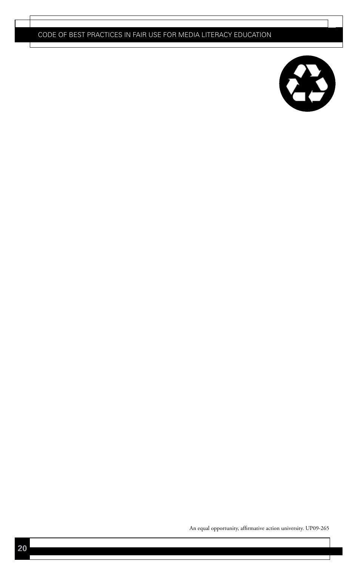

An equal opportunity, affirmative action university. UP09-265

」